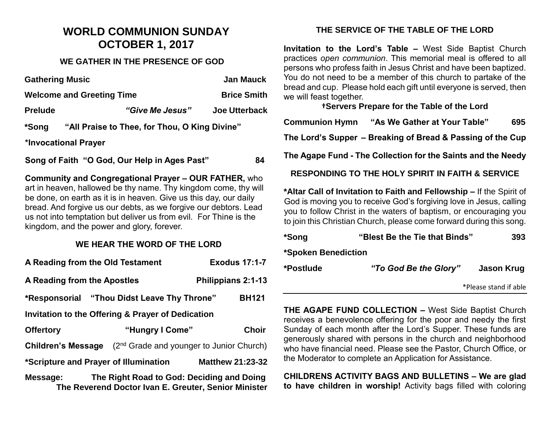# **WORLD COMMUNION SUNDAY OCTOBER 1, 2017**

#### **WE GATHER IN THE PRESENCE OF GOD**

| <b>Gathering Music</b>           |                                                    | <b>Jan Mauck</b>     |  |  |
|----------------------------------|----------------------------------------------------|----------------------|--|--|
| <b>Welcome and Greeting Time</b> |                                                    | <b>Brice Smith</b>   |  |  |
| <b>Prelude</b>                   | "Give Me Jesus"                                    | <b>Joe Utterback</b> |  |  |
| *Song                            | "All Praise to Thee, for Thou, O King Divine"      |                      |  |  |
| *Invocational Prayer             |                                                    |                      |  |  |
|                                  | Song of Faith "O God, Our Help in Ages Past"       | 84                   |  |  |
|                                  | Community and Congressional Draver. OUD EATHER who |                      |  |  |

**Community and Congregational Prayer – OUR FATHER,** who art in heaven, hallowed be thy name. Thy kingdom come, thy will be done, on earth as it is in heaven. Give us this day, our daily bread. And forgive us our debts, as we forgive our debtors. Lead us not into temptation but deliver us from evil. For Thine is the kingdom, and the power and glory, forever.

### **WE HEAR THE WORD OF THE LORD**

| A Reading from the Old Testament                                                                              |                                                      | <b>Exodus 17:1-7</b> |  |  |
|---------------------------------------------------------------------------------------------------------------|------------------------------------------------------|----------------------|--|--|
| A Reading from the Apostles                                                                                   |                                                      | Philippians 2:1-13   |  |  |
| *Responsorial "Thou Didst Leave Thy Throne"                                                                   |                                                      | <b>BH121</b>         |  |  |
| Invitation to the Offering & Prayer of Dedication                                                             |                                                      |                      |  |  |
| <b>Offertory</b>                                                                                              | "Hungry I Come"                                      | <b>Choir</b>         |  |  |
| <b>Children's Message</b>                                                                                     | (2 <sup>nd</sup> Grade and younger to Junior Church) |                      |  |  |
| *Scripture and Prayer of Illumination<br><b>Matthew 21:23-32</b>                                              |                                                      |                      |  |  |
| The Right Road to God: Deciding and Doing<br>Message:<br>The Reverend Doctor Ivan E. Greuter, Senior Minister |                                                      |                      |  |  |

## **THE SERVICE OF THE TABLE OF THE LORD**

**Invitation to the Lord's Table –** West Side Baptist Church practices *open communion*. This memorial meal is offered to all persons who profess faith in Jesus Christ and have been baptized. You do not need to be a member of this church to partake of the bread and cup. Please hold each gift until everyone is served, then we will feast together.

**†Servers Prepare for the Table of the Lord**

**Communion Hymn "As We Gather at Your Table" 695**

**The Lord's Supper – Breaking of Bread & Passing of the Cup**

**The Agape Fund - The Collection for the Saints and the Needy**

**RESPONDING TO THE HOLY SPIRIT IN FAITH & SERVICE**

**\*Altar Call of Invitation to Faith and Fellowship –** If the Spirit of God is moving you to receive God's forgiving love in Jesus, calling you to follow Christ in the waters of baptism, or encouraging you to join this Christian Church, please come forward during this song.

| *Song               | "Blest Be the Tie that Binds" | 393                   |
|---------------------|-------------------------------|-----------------------|
| *Spoken Benediction |                               |                       |
| *Postlude           | "To God Be the Glory"         | Jason Krug            |
|                     |                               | *Please stand if able |

**THE AGAPE FUND COLLECTION –** West Side Baptist Church receives a benevolence offering for the poor and needy the first Sunday of each month after the Lord's Supper. These funds are generously shared with persons in the church and neighborhood who have financial need. Please see the Pastor, Church Office, or the Moderator to complete an Application for Assistance.

**CHILDRENS ACTIVITY BAGS AND BULLETINS – We are glad to have children in worship!** Activity bags filled with coloring